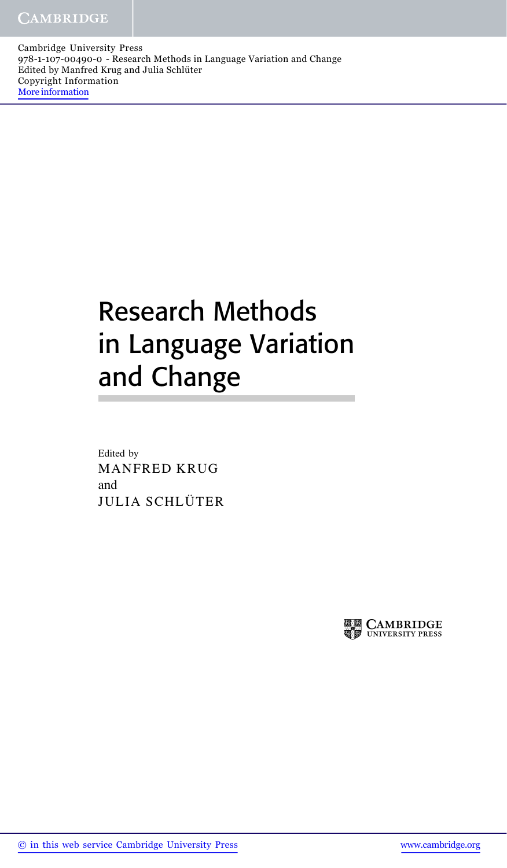Cambridge University Press 978-1-107-00490-0 - Research Methods in Language Variation and Change Edited by Manfred Krug and Julia Schlüter Copyright Information More information

## Research Methods in Language Variation and Change

Edited by MANFRED KRUG and JULIA SCHLÜTER